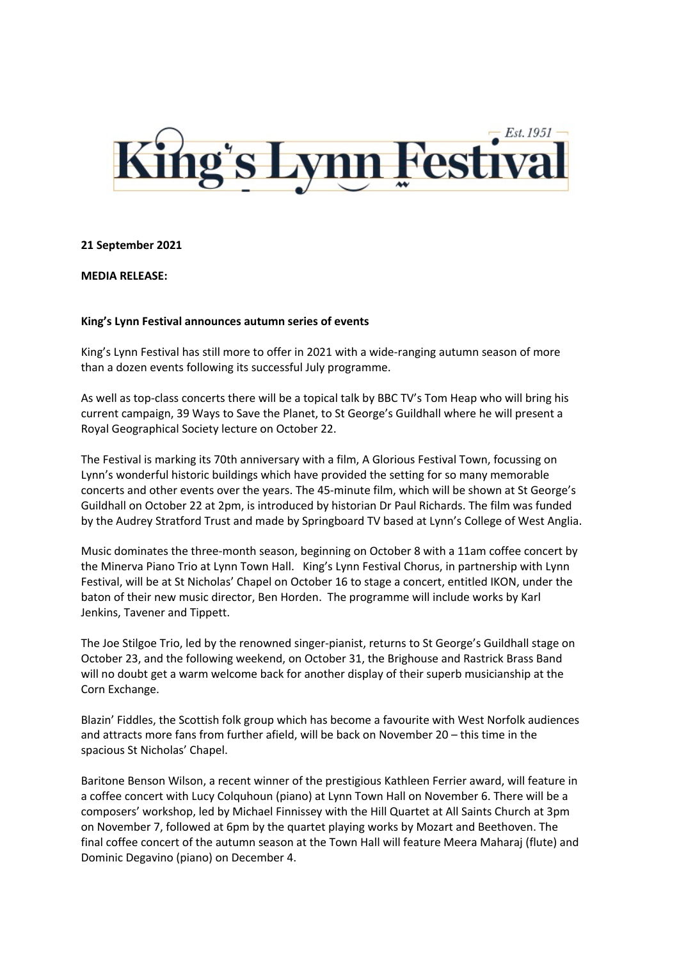

## **21 September 2021**

**MEDIA RELEASE:**

## **King's Lynn Festival announces autumn series of events**

King's Lynn Festival has still more to offer in 2021 with a wide-ranging autumn season of more than a dozen events following its successful July programme.

As well as top-class concerts there will be a topical talk by BBC TV's Tom Heap who will bring his current campaign, 39 Ways to Save the Planet, to St George's Guildhall where he will present a Royal Geographical Society lecture on October 22.

The Festival is marking its 70th anniversary with a film, A Glorious Festival Town, focussing on Lynn's wonderful historic buildings which have provided the setting for so many memorable concerts and other events over the years. The 45-minute film, which will be shown at St George's Guildhall on October 22 at 2pm, is introduced by historian Dr Paul Richards. The film was funded by the Audrey Stratford Trust and made by Springboard TV based at Lynn's College of West Anglia.

Music dominates the three-month season, beginning on October 8 with a 11am coffee concert by the Minerva Piano Trio at Lynn Town Hall. King's Lynn Festival Chorus, in partnership with Lynn Festival, will be at St Nicholas' Chapel on October 16 to stage a concert, entitled IKON, under the baton of their new music director, Ben Horden. The programme will include works by Karl Jenkins, Tavener and Tippett.

The Joe Stilgoe Trio, led by the renowned singer-pianist, returns to St George's Guildhall stage on October 23, and the following weekend, on October 31, the Brighouse and Rastrick Brass Band will no doubt get a warm welcome back for another display of their superb musicianship at the Corn Exchange.

Blazin' Fiddles, the Scottish folk group which has become a favourite with West Norfolk audiences and attracts more fans from further afield, will be back on November 20 – this time in the spacious St Nicholas' Chapel.

Baritone Benson Wilson, a recent winner of the prestigious Kathleen Ferrier award, will feature in a coffee concert with Lucy Colquhoun (piano) at Lynn Town Hall on November 6. There will be a composers' workshop, led by Michael Finnissey with the Hill Quartet at All Saints Church at 3pm on November 7, followed at 6pm by the quartet playing works by Mozart and Beethoven. The final coffee concert of the autumn season at the Town Hall will feature Meera Maharaj (flute) and Dominic Degavino (piano) on December 4.